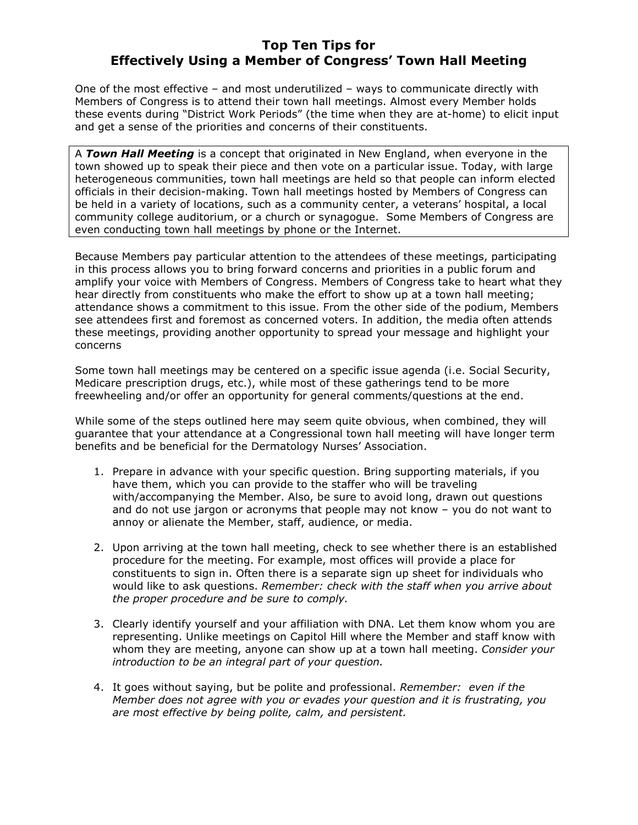## Top Ten Tips for Effectively Using a Member of Congress' Town Hall Meeting

One of the most effective – and most underutilized – ways to communicate directly with Members of Congress is to attend their town hall meetings. Almost every Member holds these events during "District Work Periods" (the time when they are at-home) to elicit input and get a sense of the priorities and concerns of their constituents.

A Town Hall Meeting is a concept that originated in New England, when everyone in the town showed up to speak their piece and then vote on a particular issue. Today, with large heterogeneous communities, town hall meetings are held so that people can inform elected officials in their decision-making. Town hall meetings hosted by Members of Congress can be held in a variety of locations, such as a community center, a veterans' hospital, a local community college auditorium, or a church or synagogue. Some Members of Congress are even conducting town hall meetings by phone or the Internet.

Because Members pay particular attention to the attendees of these meetings, participating in this process allows you to bring forward concerns and priorities in a public forum and amplify your voice with Members of Congress. Members of Congress take to heart what they hear directly from constituents who make the effort to show up at a town hall meeting; attendance shows a commitment to this issue. From the other side of the podium, Members see attendees first and foremost as concerned voters. In addition, the media often attends these meetings, providing another opportunity to spread your message and highlight your concerns

Some town hall meetings may be centered on a specific issue agenda (i.e. Social Security, Medicare prescription drugs, etc.), while most of these gatherings tend to be more freewheeling and/or offer an opportunity for general comments/questions at the end.

While some of the steps outlined here may seem quite obvious, when combined, they will guarantee that your attendance at a Congressional town hall meeting will have longer term benefits and be beneficial for the Dermatology Nurses' Association.

- 1. Prepare in advance with your specific question. Bring supporting materials, if you have them, which you can provide to the staffer who will be traveling with/accompanying the Member. Also, be sure to avoid long, drawn out questions and do not use jargon or acronyms that people may not know – you do not want to annoy or alienate the Member, staff, audience, or media.
- 2. Upon arriving at the town hall meeting, check to see whether there is an established procedure for the meeting. For example, most offices will provide a place for constituents to sign in. Often there is a separate sign up sheet for individuals who would like to ask questions. Remember: check with the staff when you arrive about the proper procedure and be sure to comply.
- 3. Clearly identify yourself and your affiliation with DNA. Let them know whom you are representing. Unlike meetings on Capitol Hill where the Member and staff know with whom they are meeting, anyone can show up at a town hall meeting. Consider your introduction to be an integral part of your question.
- 4. It goes without saying, but be polite and professional. Remember: even if the Member does not agree with you or evades your question and it is frustrating, you are most effective by being polite, calm, and persistent.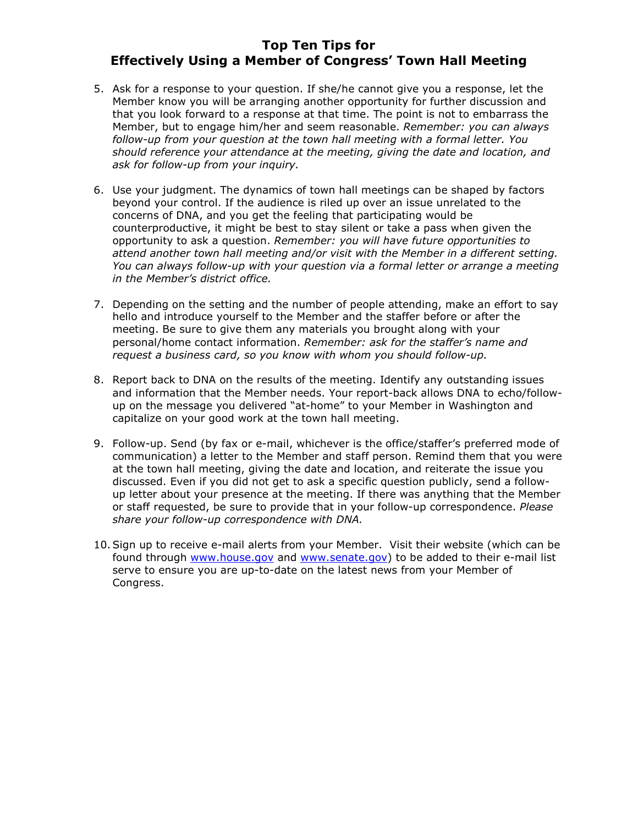## Top Ten Tips for Effectively Using a Member of Congress' Town Hall Meeting

- 5. Ask for a response to your question. If she/he cannot give you a response, let the Member know you will be arranging another opportunity for further discussion and that you look forward to a response at that time. The point is not to embarrass the Member, but to engage him/her and seem reasonable. Remember: you can always follow-up from your question at the town hall meeting with a formal letter. You should reference your attendance at the meeting, giving the date and location, and ask for follow-up from your inquiry.
- 6. Use your judgment. The dynamics of town hall meetings can be shaped by factors beyond your control. If the audience is riled up over an issue unrelated to the concerns of DNA, and you get the feeling that participating would be counterproductive, it might be best to stay silent or take a pass when given the opportunity to ask a question. Remember: you will have future opportunities to attend another town hall meeting and/or visit with the Member in a different setting. You can always follow-up with your question via a formal letter or arrange a meeting in the Member's district office.
- 7. Depending on the setting and the number of people attending, make an effort to say hello and introduce yourself to the Member and the staffer before or after the meeting. Be sure to give them any materials you brought along with your personal/home contact information. Remember: ask for the staffer's name and request a business card, so you know with whom you should follow-up.
- 8. Report back to DNA on the results of the meeting. Identify any outstanding issues and information that the Member needs. Your report-back allows DNA to echo/followup on the message you delivered "at-home" to your Member in Washington and capitalize on your good work at the town hall meeting.
- 9. Follow-up. Send (by fax or e-mail, whichever is the office/staffer's preferred mode of communication) a letter to the Member and staff person. Remind them that you were at the town hall meeting, giving the date and location, and reiterate the issue you discussed. Even if you did not get to ask a specific question publicly, send a followup letter about your presence at the meeting. If there was anything that the Member or staff requested, be sure to provide that in your follow-up correspondence. Please share your follow-up correspondence with DNA.
- 10.Sign up to receive e-mail alerts from your Member. Visit their website (which can be found through www.house.gov and www.senate.gov) to be added to their e-mail list serve to ensure you are up-to-date on the latest news from your Member of Congress.